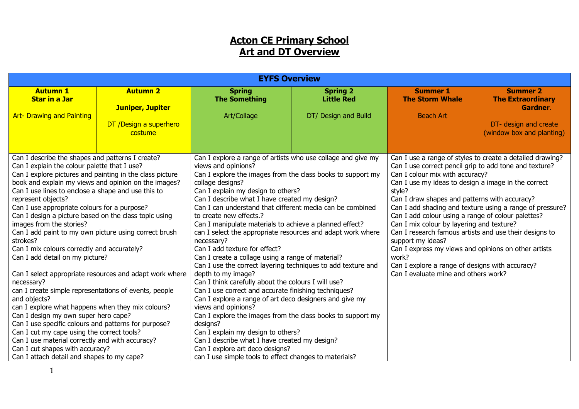# **Acton CE Primary School Art and DT Overview**

|                                                                                |                                                         | <b>EYFS Overview</b>                                                                                              |                      |                                                           |                           |  |
|--------------------------------------------------------------------------------|---------------------------------------------------------|-------------------------------------------------------------------------------------------------------------------|----------------------|-----------------------------------------------------------|---------------------------|--|
| <b>Autumn 1</b>                                                                | <b>Autumn 2</b>                                         | <b>Spring</b>                                                                                                     | <b>Spring 2</b>      | <b>Summer 1</b>                                           | <b>Summer 2</b>           |  |
| <b>Star in a Jar</b>                                                           |                                                         | <b>The Something</b>                                                                                              | <b>Little Red</b>    | <b>The Storm Whale</b>                                    | <b>The Extraordinary</b>  |  |
| <b>Art- Drawing and Painting</b>                                               | <b>Juniper, Jupiter</b>                                 | Art/Collage                                                                                                       | DT/ Design and Build | <b>Beach Art</b>                                          | <b>Gardner.</b>           |  |
|                                                                                | DT /Design a superhero                                  |                                                                                                                   |                      |                                                           | DT- design and create     |  |
|                                                                                | costume                                                 |                                                                                                                   |                      |                                                           | (window box and planting) |  |
|                                                                                |                                                         |                                                                                                                   |                      |                                                           |                           |  |
| Can I describe the shapes and patterns I create?                               |                                                         | Can I explore a range of artists who use collage and give my                                                      |                      | Can I use a range of styles to create a detailed drawing? |                           |  |
| Can I explain the colour palette that I use?                                   |                                                         | views and opinions?                                                                                               |                      | Can I use correct pencil grip to add tone and texture?    |                           |  |
| Can I explore pictures and painting in the class picture                       |                                                         | Can I explore the images from the class books to support my                                                       |                      | Can I colour mix with accuracy?                           |                           |  |
| book and explain my views and opinion on the images?                           |                                                         | collage designs?                                                                                                  |                      | Can I use my ideas to design a image in the correct       |                           |  |
| Can I use lines to enclose a shape and use this to                             |                                                         | Can I explain my design to others?                                                                                |                      | style?                                                    |                           |  |
| represent objects?                                                             |                                                         | Can I describe what I have created my design?                                                                     |                      | Can I draw shapes and patterns with accuracy?             |                           |  |
| Can I use appropriate colours for a purpose?                                   |                                                         | Can I can understand that different media can be combined                                                         |                      | Can I add shading and texture using a range of pressure?  |                           |  |
| Can I design a picture based on the class topic using                          |                                                         | to create new effects.?                                                                                           |                      | Can I add colour using a range of colour palettes?        |                           |  |
| images from the stories?                                                       |                                                         | Can I manipulate materials to achieve a planned effect?                                                           |                      | Can I mix colour by layering and texture?                 |                           |  |
| Can I add paint to my own picture using correct brush                          |                                                         | can I select the appropriate resources and adapt work where                                                       |                      | Can I research famous artists and use their designs to    |                           |  |
| strokes?                                                                       |                                                         | necessary?<br>Can I add texture for effect?                                                                       |                      | support my ideas?                                         |                           |  |
| Can I mix colours correctly and accurately?<br>Can I add detail on my picture? |                                                         |                                                                                                                   |                      | Can I express my views and opinions on other artists      |                           |  |
|                                                                                |                                                         | Can I create a collage using a range of material?<br>Can I use the correct layering techniques to add texture and |                      | work?<br>Can I explore a range of designs with accuracy?  |                           |  |
|                                                                                | Can I select appropriate resources and adapt work where | depth to my image?                                                                                                |                      | Can I evaluate mine and others work?                      |                           |  |
| necessary?                                                                     |                                                         | Can I think carefully about the colours I will use?                                                               |                      |                                                           |                           |  |
| can I create simple representations of events, people                          |                                                         | Can I use correct and accurate finishing techniques?                                                              |                      |                                                           |                           |  |
| and objects?                                                                   |                                                         | Can I explore a range of art deco designers and give my                                                           |                      |                                                           |                           |  |
| can I explore what happens when they mix colours?                              |                                                         | views and opinions?                                                                                               |                      |                                                           |                           |  |
| Can I design my own super hero cape?                                           |                                                         | Can I explore the images from the class books to support my                                                       |                      |                                                           |                           |  |
| Can I use specific colours and patterns for purpose?                           |                                                         | designs?                                                                                                          |                      |                                                           |                           |  |
| Can I cut my cape using the correct tools?                                     |                                                         | Can I explain my design to others?                                                                                |                      |                                                           |                           |  |
| Can I use material correctly and with accuracy?                                |                                                         | Can I describe what I have created my design?                                                                     |                      |                                                           |                           |  |
| Can I cut shapes with accuracy?                                                |                                                         | Can I explore art deco designs?                                                                                   |                      |                                                           |                           |  |
| Can I attach detail and shapes to my cape?                                     |                                                         | can I use simple tools to effect changes to materials?                                                            |                      |                                                           |                           |  |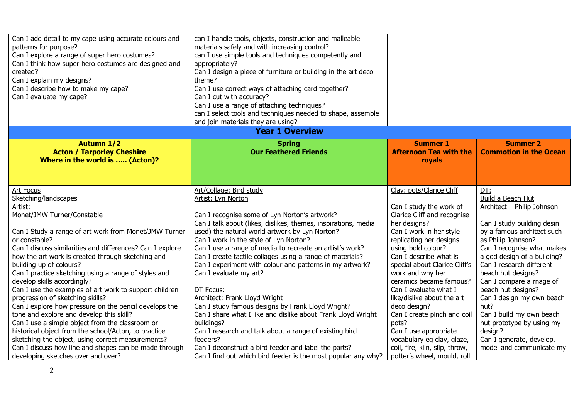| Can I add detail to my cape using accurate colours and<br>patterns for purpose?<br>Can I explore a range of super hero costumes?<br>Can I think how super hero costumes are designed and<br>created?<br>Can I explain my designs?<br>Can I describe how to make my cape?<br>Can I evaluate my cape?                                                                                                                                                                                                                                             | can I handle tools, objects, construction and malleable<br>materials safely and with increasing control?<br>can I use simple tools and techniques competently and<br>appropriately?<br>Can I design a piece of furniture or building in the art deco<br>theme?<br>Can I use correct ways of attaching card together?<br>Can I cut with accuracy?<br>Can I use a range of attaching techniques?<br>can I select tools and techniques needed to shape, assemble<br>and join materials they are using?                                                                            |                                                                                                                                                                                                                                                                                                                                                                 |                                                                                                                                                                                                                                                                                                                                              |
|-------------------------------------------------------------------------------------------------------------------------------------------------------------------------------------------------------------------------------------------------------------------------------------------------------------------------------------------------------------------------------------------------------------------------------------------------------------------------------------------------------------------------------------------------|--------------------------------------------------------------------------------------------------------------------------------------------------------------------------------------------------------------------------------------------------------------------------------------------------------------------------------------------------------------------------------------------------------------------------------------------------------------------------------------------------------------------------------------------------------------------------------|-----------------------------------------------------------------------------------------------------------------------------------------------------------------------------------------------------------------------------------------------------------------------------------------------------------------------------------------------------------------|----------------------------------------------------------------------------------------------------------------------------------------------------------------------------------------------------------------------------------------------------------------------------------------------------------------------------------------------|
|                                                                                                                                                                                                                                                                                                                                                                                                                                                                                                                                                 | <b>Year 1 Overview</b>                                                                                                                                                                                                                                                                                                                                                                                                                                                                                                                                                         |                                                                                                                                                                                                                                                                                                                                                                 |                                                                                                                                                                                                                                                                                                                                              |
| <b>Autumn 1/2</b><br><b>Acton / Tarporley Cheshire</b><br>Where in the world is  (Acton)?                                                                                                                                                                                                                                                                                                                                                                                                                                                       | <b>Spring</b><br><b>Our Feathered Friends</b>                                                                                                                                                                                                                                                                                                                                                                                                                                                                                                                                  | <b>Summer 1</b><br><b>Afternoon Tea with the</b><br>royals                                                                                                                                                                                                                                                                                                      | <b>Summer 2</b><br><b>Commotion in the Ocean</b>                                                                                                                                                                                                                                                                                             |
| Art Focus<br>Sketching/landscapes<br>Artist:<br>Monet/JMW Turner/Constable<br>Can I Study a range of art work from Monet/JMW Turner<br>or constable?<br>Can I discuss similarities and differences? Can I explore<br>how the art work is created through sketching and<br>building up of colours?<br>Can I practice sketching using a range of styles and<br>develop skills accordingly?<br>Can I use the examples of art work to support children<br>progression of sketching skills?<br>Can I explore how pressure on the pencil develops the | Art/Collage: Bird study<br>Artist: Lyn Norton<br>Can I recognise some of Lyn Norton's artwork?<br>Can I talk about (likes, dislikes, themes, inspirations, media<br>used) the natural world artwork by Lyn Norton?<br>Can I work in the style of Lyn Norton?<br>Can I use a range of media to recreate an artist's work?<br>Can I create tactile collages using a range of materials?<br>Can I experiment with colour and patterns in my artwork?<br>Can I evaluate my art?<br>DT Focus:<br>Architect: Frank Lloyd Wright<br>Can I study famous designs by Frank Lloyd Wright? | Clay: pots/Clarice Cliff<br>Can I study the work of<br>Clarice Cliff and recognise<br>her designs?<br>Can I work in her style<br>replicating her designs<br>using bold colour?<br>Can I describe what is<br>special about Clarice Cliff's<br>work and why her<br>ceramics became famous?<br>Can I evaluate what I<br>like/dislike about the art<br>deco design? | DT:<br>Build a Beach Hut<br>Architect Philip Johnson<br>Can I study building desin<br>by a famous architect such<br>as Philip Johnson?<br>Can I recognise what makes<br>a god design of a building?<br>Can I research different<br>beach hut designs?<br>Can I compare a rnage of<br>beach hut designs?<br>Can I design my own beach<br>hut? |
| tone and explore and develop this skill?<br>Can I use a simple object from the classroom or<br>historical object from the school/Acton, to practice<br>sketching the object, using correct measurements?<br>Can I discuss how line and shapes can be made through<br>developing sketches over and over?                                                                                                                                                                                                                                         | Can I share what I like and dislike about Frank Lloyd Wright<br>buildings?<br>Can I research and talk about a range of existing bird<br>feeders?<br>Can I deconstruct a bird feeder and label the parts?<br>Can I find out which bird feeder is the most popular any why?                                                                                                                                                                                                                                                                                                      | Can I create pinch and coil<br>pots?<br>Can I use appropriate<br>vocabulary eg clay, glaze,<br>coil, fire, kiln, slip, throw,<br>potter's wheel, mould, roll                                                                                                                                                                                                    | Can I build my own beach<br>hut prototype by using my<br>design?<br>Can I generate, develop,<br>model and communicate my                                                                                                                                                                                                                     |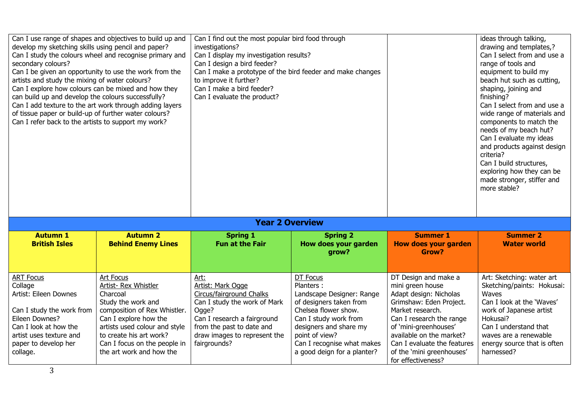| develop my sketching skills using pencil and paper?<br>investigations?<br>Can I study the colours wheel and recognise primary and<br>Can I display my investigation results?<br>Can I design a bird feeder?<br>secondary colours?<br>Can I be given an opportunity to use the work from the<br>Can I make a prototype of the bird feeder and make changes<br>to improve it further?<br>artists and study the mixing of water colours?<br>Can I make a bird feeder?<br>Can I explore how colours can be mixed and how they<br>can build up and develop the colours successfully?<br>Can I evaluate the product?<br>Can I add texture to the art work through adding layers<br>of tissue paper or build-up of further water colours?<br>Can I refer back to the artists to support my work? |                                                                                                                                                                                                                                                             |                                                                                                                                                                                                            |                                                                                                                                                                                                                                         |                                                                                                                                                                                                                                                                                      | ideas through talking,<br>drawing and templates,?<br>Can I select from and use a<br>range of tools and<br>equipment to build my<br>beach hut such as cutting,<br>shaping, joining and<br>finishing?<br>Can I select from and use a<br>wide range of materials and<br>components to match the<br>needs of my beach hut?<br>Can I evaluate my ideas<br>and products against design<br>criteria?<br>Can I build structures,<br>exploring how they can be<br>made stronger, stiffer and<br>more stable? |
|-------------------------------------------------------------------------------------------------------------------------------------------------------------------------------------------------------------------------------------------------------------------------------------------------------------------------------------------------------------------------------------------------------------------------------------------------------------------------------------------------------------------------------------------------------------------------------------------------------------------------------------------------------------------------------------------------------------------------------------------------------------------------------------------|-------------------------------------------------------------------------------------------------------------------------------------------------------------------------------------------------------------------------------------------------------------|------------------------------------------------------------------------------------------------------------------------------------------------------------------------------------------------------------|-----------------------------------------------------------------------------------------------------------------------------------------------------------------------------------------------------------------------------------------|--------------------------------------------------------------------------------------------------------------------------------------------------------------------------------------------------------------------------------------------------------------------------------------|-----------------------------------------------------------------------------------------------------------------------------------------------------------------------------------------------------------------------------------------------------------------------------------------------------------------------------------------------------------------------------------------------------------------------------------------------------------------------------------------------------|
|                                                                                                                                                                                                                                                                                                                                                                                                                                                                                                                                                                                                                                                                                                                                                                                           |                                                                                                                                                                                                                                                             | <b>Year 2 Overview</b>                                                                                                                                                                                     |                                                                                                                                                                                                                                         |                                                                                                                                                                                                                                                                                      |                                                                                                                                                                                                                                                                                                                                                                                                                                                                                                     |
| <b>Autumn 1</b><br><b>British Isles</b>                                                                                                                                                                                                                                                                                                                                                                                                                                                                                                                                                                                                                                                                                                                                                   | <b>Autumn 2</b><br><b>Behind Enemy Lines</b>                                                                                                                                                                                                                | <b>Spring 1</b><br><b>Fun at the Fair</b>                                                                                                                                                                  | <b>Spring 2</b><br>How does your garden<br>grow?                                                                                                                                                                                        | <b>Summer 1</b><br><b>How does your garden</b><br>Grow?                                                                                                                                                                                                                              | <b>Summer 2</b><br><b>Water world</b>                                                                                                                                                                                                                                                                                                                                                                                                                                                               |
| <b>ART Focus</b><br>Collage<br>Artist: Eileen Downes<br>Can I study the work from<br>Eileen Downes?<br>Can I look at how the<br>artist uses texture and<br>paper to develop her<br>collage.                                                                                                                                                                                                                                                                                                                                                                                                                                                                                                                                                                                               | Art Focus<br><b>Artist- Rex Whistler</b><br>Charcoal<br>Study the work and<br>composition of Rex Whistler.<br>Can I explore how the<br>artists used colour and style<br>to create his art work?<br>Can I focus on the people in<br>the art work and how the | Art:<br>Artist: Mark Ogge<br>Circus/fairground Chalks<br>Can I study the work of Mark<br>Ogge?<br>Can I research a fairground<br>from the past to date and<br>draw images to represent the<br>fairgrounds? | DT Focus<br>Planters:<br>Landscape Designer: Range<br>of designers taken from<br>Chelsea flower show.<br>Can I study work from<br>designers and share my<br>point of view?<br>Can I recognise what makes<br>a good deign for a planter? | DT Design and make a<br>mini green house<br>Adapt design: Nicholas<br>Grimshaw: Eden Project.<br>Market research.<br>Can I research the range<br>of 'mini-greenhouses'<br>available on the market?<br>Can I evaluate the features<br>of the 'mini greenhouses'<br>for effectiveness? | Art: Sketching: water art<br>Sketching/paints: Hokusai:<br>Waves<br>Can I look at the 'Waves'<br>work of Japanese artist<br>Hokusai?<br>Can I understand that<br>waves are a renewable<br>energy source that is often<br>harnessed?                                                                                                                                                                                                                                                                 |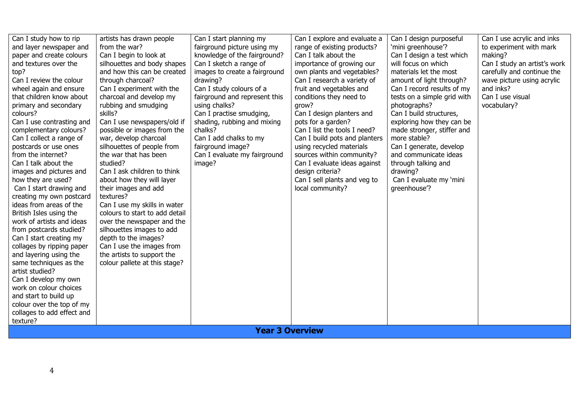| Can I review the colour<br>through charcoal?<br>drawing?<br>Can I research a variety of<br>amount of light through?<br>wave picture using acrylic<br>Can I study colours of a<br>fruit and vegetables and<br>and inks?<br>wheel again and ensure<br>Can I experiment with the<br>Can I record results of my<br>that children know about<br>charcoal and develop my<br>conditions they need to<br>Can I use visual<br>fairground and represent this<br>tests on a simple grid with<br>rubbing and smudging<br>primary and secondary<br>using chalks?<br>photographs?<br>vocabulary?<br>grow?<br>skills?<br>Can I practise smudging,<br>Can I design planters and<br>Can I build structures,<br>colours?<br>Can I use newspapers/old if<br>shading, rubbing and mixing<br>exploring how they can be<br>Can I use contrasting and<br>pots for a garden?<br>chalks?<br>Can I list the tools I need?<br>possible or images from the<br>made stronger, stiffer and<br>complementary colours?<br>more stable?<br>Can I collect a range of<br>war, develop charcoal<br>Can I add chalks to my<br>Can I build pots and planters<br>silhouettes of people from<br>fairground image?<br>postcards or use ones<br>using recycled materials<br>Can I generate, develop<br>from the internet?<br>the war that has been<br>Can I evaluate my fairground<br>and communicate ideas<br>sources within community?<br>Can I talk about the<br>studied?<br>Can I evaluate ideas against<br>image?<br>through talking and<br>Can I ask children to think<br>design criteria?<br>drawing?<br>images and pictures and<br>how they are used?<br>about how they will layer<br>Can I sell plants and veg to<br>Can I evaluate my 'mini<br>Can I start drawing and<br>their images and add<br>local community?<br>greenhouse'?<br>textures?<br>creating my own postcard<br>ideas from areas of the<br>Can I use my skills in water<br>colours to start to add detail<br>British Isles using the<br>work of artists and ideas<br>over the newspaper and the<br>from postcards studied?<br>silhouettes images to add<br>Can I start creating my<br>depth to the images?<br>Can I use the images from<br>collages by ripping paper<br>the artists to support the<br>and layering using the<br>colour pallete at this stage?<br>same techniques as the<br>artist studied?<br>Can I develop my own<br>work on colour choices<br>and start to build up<br>colour over the top of my<br>collages to add effect and<br>texture?<br><b>Year 3 Overview</b> |
|-----------------------------------------------------------------------------------------------------------------------------------------------------------------------------------------------------------------------------------------------------------------------------------------------------------------------------------------------------------------------------------------------------------------------------------------------------------------------------------------------------------------------------------------------------------------------------------------------------------------------------------------------------------------------------------------------------------------------------------------------------------------------------------------------------------------------------------------------------------------------------------------------------------------------------------------------------------------------------------------------------------------------------------------------------------------------------------------------------------------------------------------------------------------------------------------------------------------------------------------------------------------------------------------------------------------------------------------------------------------------------------------------------------------------------------------------------------------------------------------------------------------------------------------------------------------------------------------------------------------------------------------------------------------------------------------------------------------------------------------------------------------------------------------------------------------------------------------------------------------------------------------------------------------------------------------------------------------------------------------------------------------------------------------------------------------------------------------------------------------------------------------------------------------------------------------------------------------------------------------------------------------------------------------------------------------------------------------------------------------------------------------------------------------------------------------------------------------------------------------------------------------------|
|-----------------------------------------------------------------------------------------------------------------------------------------------------------------------------------------------------------------------------------------------------------------------------------------------------------------------------------------------------------------------------------------------------------------------------------------------------------------------------------------------------------------------------------------------------------------------------------------------------------------------------------------------------------------------------------------------------------------------------------------------------------------------------------------------------------------------------------------------------------------------------------------------------------------------------------------------------------------------------------------------------------------------------------------------------------------------------------------------------------------------------------------------------------------------------------------------------------------------------------------------------------------------------------------------------------------------------------------------------------------------------------------------------------------------------------------------------------------------------------------------------------------------------------------------------------------------------------------------------------------------------------------------------------------------------------------------------------------------------------------------------------------------------------------------------------------------------------------------------------------------------------------------------------------------------------------------------------------------------------------------------------------------------------------------------------------------------------------------------------------------------------------------------------------------------------------------------------------------------------------------------------------------------------------------------------------------------------------------------------------------------------------------------------------------------------------------------------------------------------------------------------------------|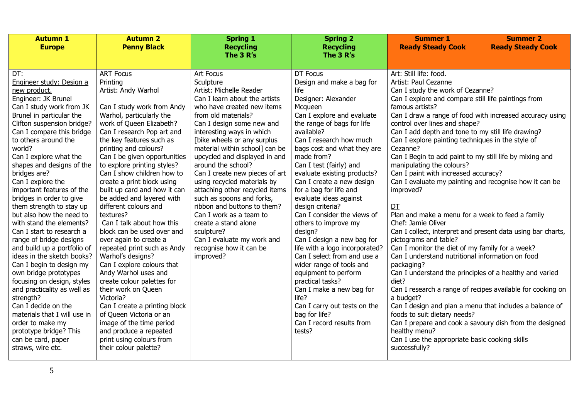|                                                                                                                                                                                                                                                                                                                                                                                                                                                                                                                                                                                                                                                                                                                                                                                                                                                                                                                                                                                                                                                                                                                                                                                                                                                                                                                                                                                                                                                                                                                                                                                                                                                                                                                                                                                                                                     | The 3 R's                                                                                                                                                                                                                                                                                                                                                                                                                                                                                                                                                                  | The 3 R's                                                                                                                                                                                                                                                                                                                                                                                                                                                                                                                                                                                                                                                                                                                                                              | <b>Summer 2</b><br><b>Summer 1</b><br><b>Ready Steady Cook</b><br><b>Ready Steady Cook</b>                                                                                                                                                                                                                                                                                                                                                                                                                                                                                                                                                                                                                                                                                                                                                                                                                                                                                                                                                                                                                                                                                                                      |                                                            |  |
|-------------------------------------------------------------------------------------------------------------------------------------------------------------------------------------------------------------------------------------------------------------------------------------------------------------------------------------------------------------------------------------------------------------------------------------------------------------------------------------------------------------------------------------------------------------------------------------------------------------------------------------------------------------------------------------------------------------------------------------------------------------------------------------------------------------------------------------------------------------------------------------------------------------------------------------------------------------------------------------------------------------------------------------------------------------------------------------------------------------------------------------------------------------------------------------------------------------------------------------------------------------------------------------------------------------------------------------------------------------------------------------------------------------------------------------------------------------------------------------------------------------------------------------------------------------------------------------------------------------------------------------------------------------------------------------------------------------------------------------------------------------------------------------------------------------------------------------|----------------------------------------------------------------------------------------------------------------------------------------------------------------------------------------------------------------------------------------------------------------------------------------------------------------------------------------------------------------------------------------------------------------------------------------------------------------------------------------------------------------------------------------------------------------------------|------------------------------------------------------------------------------------------------------------------------------------------------------------------------------------------------------------------------------------------------------------------------------------------------------------------------------------------------------------------------------------------------------------------------------------------------------------------------------------------------------------------------------------------------------------------------------------------------------------------------------------------------------------------------------------------------------------------------------------------------------------------------|-----------------------------------------------------------------------------------------------------------------------------------------------------------------------------------------------------------------------------------------------------------------------------------------------------------------------------------------------------------------------------------------------------------------------------------------------------------------------------------------------------------------------------------------------------------------------------------------------------------------------------------------------------------------------------------------------------------------------------------------------------------------------------------------------------------------------------------------------------------------------------------------------------------------------------------------------------------------------------------------------------------------------------------------------------------------------------------------------------------------------------------------------------------------------------------------------------------------|------------------------------------------------------------|--|
|                                                                                                                                                                                                                                                                                                                                                                                                                                                                                                                                                                                                                                                                                                                                                                                                                                                                                                                                                                                                                                                                                                                                                                                                                                                                                                                                                                                                                                                                                                                                                                                                                                                                                                                                                                                                                                     |                                                                                                                                                                                                                                                                                                                                                                                                                                                                                                                                                                            |                                                                                                                                                                                                                                                                                                                                                                                                                                                                                                                                                                                                                                                                                                                                                                        |                                                                                                                                                                                                                                                                                                                                                                                                                                                                                                                                                                                                                                                                                                                                                                                                                                                                                                                                                                                                                                                                                                                                                                                                                 |                                                            |  |
| <b>ART Focus</b><br>Art Focus<br>DT:<br>Printing<br>Sculpture<br>Engineer study: Design a<br>Artist: Andy Warhol<br>new product.<br>Engineer: JK Brunel<br>Can I study work from JK<br>Can I study work from Andy<br>Warhol, particularly the<br>Brunel in particular the<br>work of Queen Elizabeth?<br>Clifton suspension bridge?<br>Can I compare this bridge<br>Can I research Pop art and<br>to others around the<br>the key features such as<br>printing and colours?<br>world?<br>Can I explore what the<br>Can I be given opportunities<br>shapes and designs of the<br>to explore printing styles?<br>bridges are?<br>Can I show children how to<br>Can I explore the<br>create a print block using<br>important features of the<br>built up card and how it can<br>bridges in order to give<br>be added and layered with<br>them strength to stay up<br>different colours and<br>but also how the need to<br>textures?<br>with stand the elements?<br>Can I talk about how this<br>Can I start to research a<br>block can be used over and<br>sculpture?<br>range of bridge designs<br>over again to create a<br>and build up a portfolio of<br>repeated print such as Andy<br>ideas in the sketch books?<br>Warhol's designs?<br>improved?<br>Can I begin to design my<br>Can I explore colours that<br>Andy Warhol uses and<br>own bridge prototypes<br>create colour palettes for<br>focusing on design, styles<br>and practicality as well as<br>their work on Queen<br>strength?<br>Victoria?<br>Can I decide on the<br>Can I create a printing block<br>of Queen Victoria or an<br>materials that I will use in<br>image of the time period<br>order to make my<br>prototype bridge? This<br>and produce a repeated<br>print using colours from<br>can be card, paper<br>straws, wire etc.<br>their colour palette? | Artist: Michelle Reader<br>Can I learn about the artists<br>who have created new items<br>from old materials?<br>Can I design some new and<br>interesting ways in which<br>[bike wheels or any surplus<br>material within school] can be<br>upcycled and displayed in and<br>around the school?<br>Can I create new pieces of art<br>using recycled materials by<br>attaching other recycled items<br>such as spoons and forks,<br>ribbon and buttons to them?<br>Can I work as a team to<br>create a stand alone<br>Can I evaluate my work and<br>recognise how it can be | DT Focus<br>Design and make a bag for<br>life<br>Designer: Alexander<br>Mcqueen<br>Can I explore and evaluate<br>the range of bags for life<br>available?<br>Can I research how much<br>bags cost and what they are<br>made from?<br>Can I test (fairly) and<br>evaluate existing products?<br>Can I create a new design<br>for a bag for life and<br>evaluate ideas against<br>design criteria?<br>Can I consider the views of<br>others to improve my<br>design?<br>Can I design a new bag for<br>life with a logo incorporated?<br>Can I select from and use a<br>wider range of tools and<br>equipment to perform<br>practical tasks?<br>Can I make a new bag for<br>life?<br>Can I carry out tests on the<br>bag for life?<br>Can I record results from<br>tests? | Art: Still life: food.<br>Artist: Paul Cezanne<br>Can I study the work of Cezanne?<br>Can I explore and compare still life paintings from<br>famous artists?<br>Can I draw a range of food with increased accuracy using<br>control over lines and shape?<br>Can I add depth and tone to my still life drawing?<br>Can I explore painting techniques in the style of<br>Cezanne?<br>Can I Begin to add paint to my still life by mixing and<br>manipulating the colours?<br>Can I paint with increased accuracy?<br>Can I evaluate my painting and recognise how it can be<br>improved?<br>DT<br>Plan and make a menu for a week to feed a family<br>Chef: Jamie Oliver<br>Can I collect, interpret and present data using bar charts,<br>pictograms and table?<br>Can I monitor the diet of my family for a week?<br>Can I understand nutritional information on food<br>packaging?<br>Can I understand the principles of a healthy and varied<br>diet?<br>a budget?<br>Can I design and plan a menu that includes a balance of<br>foods to suit dietary needs?<br>Can I prepare and cook a savoury dish from the designed<br>healthy menu?<br>Can I use the appropriate basic cooking skills<br>successfully? | Can I research a range of recipes available for cooking on |  |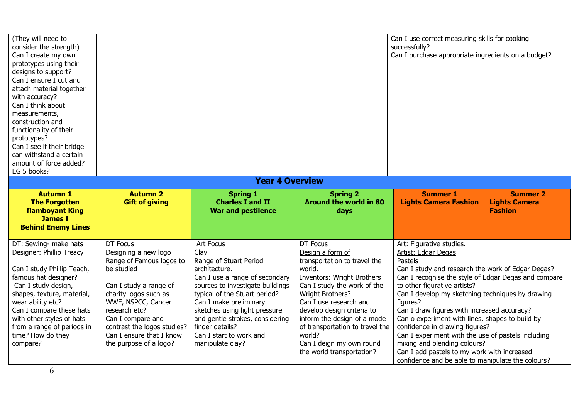| (They will need to<br>consider the strength)<br>Can I create my own<br>prototypes using their<br>designs to support?<br>Can I ensure I cut and<br>attach material together<br>with accuracy?<br>Can I think about<br>measurements,<br>construction and<br>functionality of their<br>prototypes?<br>Can I see if their bridge<br>can withstand a certain<br>amount of force added?<br>EG 5 books? |                                                                                                                                                                                                                                                                                |                                                                                                                                                                                                                                                                                                                                            |                                                                                                                                                                                                                                                                                                                                                             | Can I use correct measuring skills for cooking<br>successfully?<br>Can I purchase appropriate ingredients on a budget?                                                                                                                                                                                                                                                                                                                                                                                                                                                                                |                                                           |
|--------------------------------------------------------------------------------------------------------------------------------------------------------------------------------------------------------------------------------------------------------------------------------------------------------------------------------------------------------------------------------------------------|--------------------------------------------------------------------------------------------------------------------------------------------------------------------------------------------------------------------------------------------------------------------------------|--------------------------------------------------------------------------------------------------------------------------------------------------------------------------------------------------------------------------------------------------------------------------------------------------------------------------------------------|-------------------------------------------------------------------------------------------------------------------------------------------------------------------------------------------------------------------------------------------------------------------------------------------------------------------------------------------------------------|-------------------------------------------------------------------------------------------------------------------------------------------------------------------------------------------------------------------------------------------------------------------------------------------------------------------------------------------------------------------------------------------------------------------------------------------------------------------------------------------------------------------------------------------------------------------------------------------------------|-----------------------------------------------------------|
|                                                                                                                                                                                                                                                                                                                                                                                                  |                                                                                                                                                                                                                                                                                | <b>Year 4 Overview</b>                                                                                                                                                                                                                                                                                                                     |                                                                                                                                                                                                                                                                                                                                                             |                                                                                                                                                                                                                                                                                                                                                                                                                                                                                                                                                                                                       |                                                           |
| <b>Autumn 1</b><br><b>The Forgotten</b><br><b>flamboyant King</b><br><b>James I</b><br><b>Behind Enemy Lines</b>                                                                                                                                                                                                                                                                                 | <b>Autumn 2</b><br><b>Gift of giving</b>                                                                                                                                                                                                                                       | <b>Spring 1</b><br><b>Charles I and II</b><br><b>War and pestilence</b>                                                                                                                                                                                                                                                                    | <b>Spring 2</b><br><b>Around the world in 80</b><br>days                                                                                                                                                                                                                                                                                                    | <b>Summer 1</b><br><b>Lights Camera Fashion</b>                                                                                                                                                                                                                                                                                                                                                                                                                                                                                                                                                       | <b>Summer 2</b><br><b>Lights Camera</b><br><b>Fashion</b> |
| DT: Sewing- make hats<br>Designer: Phillip Treacy<br>Can I study Phillip Teach,<br>famous hat designer?<br>Can I study design,<br>shapes, texture, material,<br>wear ability etc?<br>Can I compare these hats<br>with other styles of hats<br>from a range of periods in<br>time? How do they<br>compare?                                                                                        | DT Focus<br>Designing a new logo<br>Range of Famous logos to<br>be studied<br>Can I study a range of<br>charity logos such as<br>WWF, NSPCC, Cancer<br>research etc?<br>Can I compare and<br>contrast the logos studies?<br>Can I ensure that I know<br>the purpose of a logo? | <b>Art Focus</b><br>Clay<br>Range of Stuart Period<br>architecture.<br>Can I use a range of secondary<br>sources to investigate buildings<br>typical of the Stuart period?<br>Can I make preliminary<br>sketches using light pressure<br>and gentle strokes, considering<br>finder details?<br>Can I start to work and<br>manipulate clay? | DT Focus<br>Design a form of<br>transportation to travel the<br>world.<br><b>Inventors: Wright Brothers</b><br>Can I study the work of the<br>Wright Brothers?<br>Can I use research and<br>develop design criteria to<br>inform the design of a mode<br>of transportation to travel the<br>world?<br>Can I deign my own round<br>the world transportation? | Art: Figurative studies.<br>Artist: Edgar Degas<br>Pastels<br>Can I study and research the work of Edgar Degas?<br>Can I recognise the style of Edgar Degas and compare<br>to other figurative artists?<br>Can I develop my sketching techniques by drawing<br>figures?<br>Can I draw figures with increased accuracy?<br>Can o experiment with lines, shapes to build by<br>confidence in drawing figures?<br>Can I experiment with the use of pastels including<br>mixing and blending colours?<br>Can I add pastels to my work with increased<br>confidence and be able to manipulate the colours? |                                                           |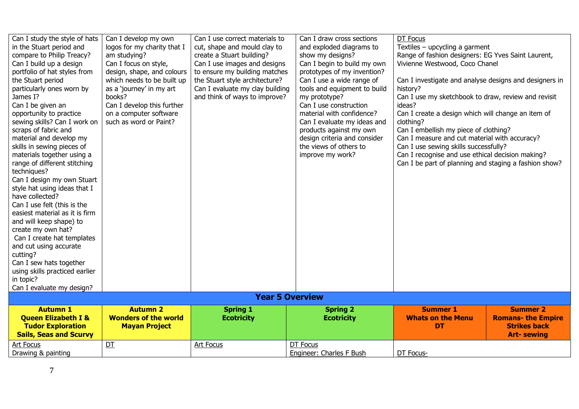| Can I study the style of hats  | Can I develop my own        | Can I use correct materials to  | Can I draw cross sections    | DT Focus                                               |                           |
|--------------------------------|-----------------------------|---------------------------------|------------------------------|--------------------------------------------------------|---------------------------|
| in the Stuart period and       | logos for my charity that I | cut, shape and mould clay to    | and exploded diagrams to     | Textiles - upcycling a garment                         |                           |
| compare to Philip Treacy?      | am studying?                | create a Stuart building?       | show my designs?             | Range of fashion designers: EG Yves Saint Laurent,     |                           |
| Can I build up a design        | Can I focus on style,       | Can I use images and designs    | Can I begin to build my own  | Vivienne Westwood, Coco Chanel                         |                           |
| portfolio of hat styles from   | design, shape, and colours  | to ensure my building matches   | prototypes of my invention?  |                                                        |                           |
| the Stuart period              | which needs to be built up  | the Stuart style architecture?  | Can I use a wide range of    | Can I investigate and analyse designs and designers in |                           |
| particularly ones worn by      | as a 'journey' in my art    | Can I evaluate my clay building | tools and equipment to build | history?                                               |                           |
| James I?                       | books?                      | and think of ways to improve?   | my prototype?                | Can I use my sketchbook to draw, review and revisit    |                           |
| Can I be given an              | Can I develop this further  |                                 | Can I use construction       | ideas?                                                 |                           |
| opportunity to practice        | on a computer software      |                                 | material with confidence?    | Can I create a design which will change an item of     |                           |
| sewing skills? Can I work on   | such as word or Paint?      |                                 | Can I evaluate my ideas and  | clothing?                                              |                           |
| scraps of fabric and           |                             |                                 | products against my own      | Can I embellish my piece of clothing?                  |                           |
| material and develop my        |                             |                                 | design criteria and consider | Can I measure and cut material with accuracy?          |                           |
| skills in sewing pieces of     |                             |                                 | the views of others to       | Can I use sewing skills successfully?                  |                           |
| materials together using a     |                             |                                 | improve my work?             | Can I recognise and use ethical decision making?       |                           |
| range of different stitching   |                             |                                 |                              | Can I be part of planning and staging a fashion show?  |                           |
| techniques?                    |                             |                                 |                              |                                                        |                           |
| Can I design my own Stuart     |                             |                                 |                              |                                                        |                           |
| style hat using ideas that I   |                             |                                 |                              |                                                        |                           |
| have collected?                |                             |                                 |                              |                                                        |                           |
| Can I use felt (this is the    |                             |                                 |                              |                                                        |                           |
| easiest material as it is firm |                             |                                 |                              |                                                        |                           |
| and will keep shape) to        |                             |                                 |                              |                                                        |                           |
| create my own hat?             |                             |                                 |                              |                                                        |                           |
| Can I create hat templates     |                             |                                 |                              |                                                        |                           |
| and cut using accurate         |                             |                                 |                              |                                                        |                           |
| cutting?                       |                             |                                 |                              |                                                        |                           |
| Can I sew hats together        |                             |                                 |                              |                                                        |                           |
| using skills practiced earlier |                             |                                 |                              |                                                        |                           |
| in topic?                      |                             |                                 |                              |                                                        |                           |
| Can I evaluate my design?      |                             |                                 |                              |                                                        |                           |
|                                |                             | <b>Year 5 Overview</b>          |                              |                                                        |                           |
| <b>Autumn 1</b>                | <b>Autumn 2</b>             | <b>Spring 1</b>                 | <b>Spring 2</b>              | <b>Summer 1</b>                                        | <b>Summer 2</b>           |
| <b>Queen Elizabeth I &amp;</b> | <b>Wonders of the world</b> | <b>Ecotricity</b>               | <b>Ecotricity</b>            | <b>Whats on the Menu</b>                               | <b>Romans- the Empire</b> |
| <b>Tudor Exploration</b>       | <b>Mayan Project</b>        |                                 |                              | <b>DT</b>                                              | <b>Strikes back</b>       |
| <b>Sails, Seas and Scurvy</b>  |                             |                                 |                              |                                                        | <b>Art-sewing</b>         |
| Art Focus                      | DT                          | <b>Art Focus</b>                | DT Focus                     |                                                        |                           |
| Drawing & painting             |                             |                                 | Engineer: Charles F Bush     | DT Focus-                                              |                           |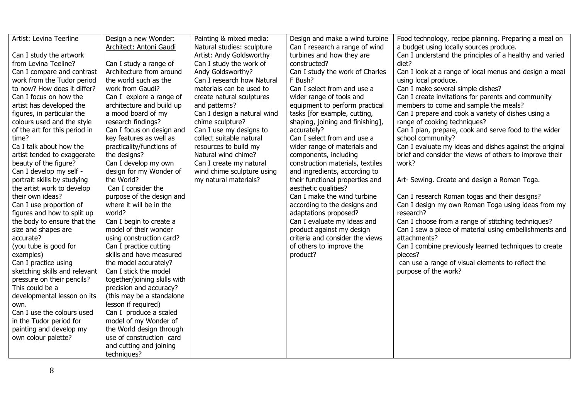| Artist: Levina Teerline       | Design a new Wonder:         | Painting & mixed media:     | Design and make a wind turbine   | Food technology, recipe planning. Preparing a meal on   |
|-------------------------------|------------------------------|-----------------------------|----------------------------------|---------------------------------------------------------|
|                               | Architect: Antoni Gaudi      | Natural studies: sculpture  | Can I research a range of wind   | a budget using locally sources produce.                 |
| Can I study the artwork       |                              | Artist: Andy Goldsworthy    | turbines and how they are        | Can I understand the principles of a healthy and varied |
| from Levina Teeline?          | Can I study a range of       | Can I study the work of     | constructed?                     | diet?                                                   |
| Can I compare and contrast    | Architecture from around     | Andy Goldsworthy?           | Can I study the work of Charles  | Can I look at a range of local menus and design a meal  |
| work from the Tudor period    | the world such as the        | Can I research how Natural  | F Bush?                          | using local produce.                                    |
| to now? How does it differ?   | work from Gaudi?             | materials can be used to    | Can I select from and use a      | Can I make several simple dishes?                       |
| Can I focus on how the        | Can I explore a range of     | create natural sculptures   | wider range of tools and         | Can I create invitations for parents and community      |
| artist has developed the      | architecture and build up    | and patterns?               | equipment to perform practical   | members to come and sample the meals?                   |
| figures, in particular the    | a mood board of my           | Can I design a natural wind | tasks [for example, cutting,     | Can I prepare and cook a variety of dishes using a      |
| colours used and the style    | research findings?           | chime sculpture?            | shaping, joining and finishing], | range of cooking techniques?                            |
| of the art for this period in | Can I focus on design and    | Can I use my designs to     | accurately?                      | Can I plan, prepare, cook and serve food to the wider   |
| time?                         | key features as well as      | collect suitable natural    | Can I select from and use a      | school community?                                       |
| Ca I talk about how the       | practicality/functions of    | resources to build my       | wider range of materials and     | Can I evaluate my ideas and dishes against the original |
| artist tended to exaggerate   | the designs?                 | Natural wind chime?         | components, including            | brief and consider the views of others to improve their |
| beauty of the figure?         | Can I develop my own         | Can I create my natural     | construction materials, textiles | work?                                                   |
| Can I develop my self -       | design for my Wonder of      | wind chime sculpture using  | and ingredients, according to    |                                                         |
| portrait skills by studying   | the World?                   | my natural materials?       | their functional properties and  | Art- Sewing. Create and design a Roman Toga.            |
| the artist work to develop    | Can I consider the           |                             | aesthetic qualities?             |                                                         |
| their own ideas?              | purpose of the design and    |                             | Can I make the wind turbine      | Can I research Roman togas and their designs?           |
| Can I use proportion of       | where it will be in the      |                             | according to the designs and     | Can I design my own Roman Toga using ideas from my      |
| figures and how to split up   | world?                       |                             | adaptations proposed?            | research?                                               |
| the body to ensure that the   | Can I begin to create a      |                             | Can I evaluate my ideas and      | Can I choose from a range of stitching techniques?      |
| size and shapes are           | model of their wonder        |                             | product against my design        | Can I sew a piece of material using embellishments and  |
| accurate?                     | using construction card?     |                             | criteria and consider the views  | attachments?                                            |
| (you tube is good for         | Can I practice cutting       |                             | of others to improve the         | Can I combine previously learned techniques to create   |
| examples)                     | skills and have measured     |                             | product?                         | pieces?                                                 |
| Can I practice using          | the model accurately?        |                             |                                  | can use a range of visual elements to reflect the       |
| sketching skills and relevant | Can I stick the model        |                             |                                  | purpose of the work?                                    |
| pressure on their pencils?    | together/joining skills with |                             |                                  |                                                         |
| This could be a               | precision and accuracy?      |                             |                                  |                                                         |
| developmental lesson on its   | (this may be a standalone    |                             |                                  |                                                         |
| own.                          | lesson if required)          |                             |                                  |                                                         |
| Can I use the colours used    | Can I produce a scaled       |                             |                                  |                                                         |
| in the Tudor period for       | model of my Wonder of        |                             |                                  |                                                         |
| painting and develop my       | the World design through     |                             |                                  |                                                         |
| own colour palette?           | use of construction card     |                             |                                  |                                                         |
|                               | and cutting and joining      |                             |                                  |                                                         |
|                               | techniques?                  |                             |                                  |                                                         |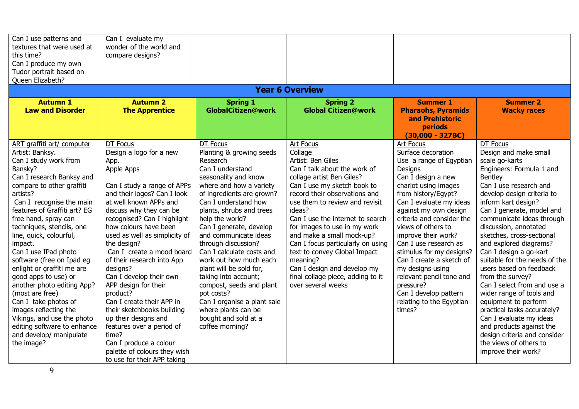| Can I use patterns and<br>textures that were used at<br>this time?<br>Can I produce my own<br>Tudor portrait based on                                                                                                                                                                                                                                                                                                                                                                                                                                                                                                             | Can I evaluate my<br>wonder of the world and<br>compare designs?                                                                                                                                                                                                                                                                                                                                                                                                                                                                                                                                                                             |                                                                                                                                                                                                                                                                                                                                                                                                                                                                                                                                                             |                                                                                                                                                                                                                                                                                                                                                                                                                                                                                                       |                                                                                                                                                                                                                                                                                                                                                                                                                                                                                       |                                                                                                                                                                                                                                                                                                                                                                                                                                                                                                                                                                                                                                                                                         |
|-----------------------------------------------------------------------------------------------------------------------------------------------------------------------------------------------------------------------------------------------------------------------------------------------------------------------------------------------------------------------------------------------------------------------------------------------------------------------------------------------------------------------------------------------------------------------------------------------------------------------------------|----------------------------------------------------------------------------------------------------------------------------------------------------------------------------------------------------------------------------------------------------------------------------------------------------------------------------------------------------------------------------------------------------------------------------------------------------------------------------------------------------------------------------------------------------------------------------------------------------------------------------------------------|-------------------------------------------------------------------------------------------------------------------------------------------------------------------------------------------------------------------------------------------------------------------------------------------------------------------------------------------------------------------------------------------------------------------------------------------------------------------------------------------------------------------------------------------------------------|-------------------------------------------------------------------------------------------------------------------------------------------------------------------------------------------------------------------------------------------------------------------------------------------------------------------------------------------------------------------------------------------------------------------------------------------------------------------------------------------------------|---------------------------------------------------------------------------------------------------------------------------------------------------------------------------------------------------------------------------------------------------------------------------------------------------------------------------------------------------------------------------------------------------------------------------------------------------------------------------------------|-----------------------------------------------------------------------------------------------------------------------------------------------------------------------------------------------------------------------------------------------------------------------------------------------------------------------------------------------------------------------------------------------------------------------------------------------------------------------------------------------------------------------------------------------------------------------------------------------------------------------------------------------------------------------------------------|
| Queen Elizabeth?                                                                                                                                                                                                                                                                                                                                                                                                                                                                                                                                                                                                                  |                                                                                                                                                                                                                                                                                                                                                                                                                                                                                                                                                                                                                                              |                                                                                                                                                                                                                                                                                                                                                                                                                                                                                                                                                             | <b>Year 6 Overview</b>                                                                                                                                                                                                                                                                                                                                                                                                                                                                                |                                                                                                                                                                                                                                                                                                                                                                                                                                                                                       |                                                                                                                                                                                                                                                                                                                                                                                                                                                                                                                                                                                                                                                                                         |
| <b>Autumn 1</b>                                                                                                                                                                                                                                                                                                                                                                                                                                                                                                                                                                                                                   | <b>Autumn 2</b>                                                                                                                                                                                                                                                                                                                                                                                                                                                                                                                                                                                                                              | <b>Spring 1</b>                                                                                                                                                                                                                                                                                                                                                                                                                                                                                                                                             | <b>Spring 2</b>                                                                                                                                                                                                                                                                                                                                                                                                                                                                                       | <b>Summer 1</b>                                                                                                                                                                                                                                                                                                                                                                                                                                                                       | <b>Summer 2</b>                                                                                                                                                                                                                                                                                                                                                                                                                                                                                                                                                                                                                                                                         |
| <b>Law and Disorder</b>                                                                                                                                                                                                                                                                                                                                                                                                                                                                                                                                                                                                           | <b>The Apprentice</b>                                                                                                                                                                                                                                                                                                                                                                                                                                                                                                                                                                                                                        | <b>GlobalCitizen@work</b>                                                                                                                                                                                                                                                                                                                                                                                                                                                                                                                                   | <b>Global Citizen@work</b>                                                                                                                                                                                                                                                                                                                                                                                                                                                                            | <b>Pharaohs, Pyramids</b><br>and Prehistoric<br><b>periods</b><br>$(30,000 - 327BC)$                                                                                                                                                                                                                                                                                                                                                                                                  | <b>Wacky races</b>                                                                                                                                                                                                                                                                                                                                                                                                                                                                                                                                                                                                                                                                      |
| ART graffiti art/ computer<br>Artist: Banksy.<br>Can I study work from<br>Bansky?<br>Can I research Banksy and<br>compare to other graffiti<br>artists?<br>Can I recognise the main<br>features of Graffiti art? EG<br>free hand, spray can<br>techniques, stencils, one<br>line, quick, colourful,<br>impact.<br>Can I use IPad photo<br>software (free on Ipad eg<br>enlight or graffiti me are<br>good apps to use) or<br>another photo editing App?<br>(most are free)<br>Can I take photos of<br>images reflecting the<br>Vikings, and use the photo<br>editing software to enhance<br>and develop/ manipulate<br>the image? | DT Focus<br>Design a logo for a new<br>App.<br>Apple Apps<br>Can I study a range of APPs<br>and their logos? Can I look<br>at well known APPs and<br>discuss why they can be<br>recognised? Can I highlight<br>how colours have been<br>used as well as simplicity of<br>the design?<br>Can I create a mood board<br>of their research into App<br>designs?<br>Can I develop their own<br>APP design for their<br>product?<br>Can I create their APP in<br>their sketchbooks building<br>up their designs and<br>features over a period of<br>time?<br>Can I produce a colour<br>palette of colours they wish<br>to use for their APP taking | DT Focus<br>Planting & growing seeds<br>Research<br>Can I understand<br>seasonality and know<br>where and how a variety<br>of ingredients are grown?<br>Can I understand how<br>plants, shrubs and trees<br>help the world?<br>Can I generate, develop<br>and communicate ideas<br>through discussion?<br>Can I calculate costs and<br>work out how much each<br>plant will be sold for,<br>taking into account;<br>compost, seeds and plant<br>pot costs?<br>Can I organise a plant sale<br>where plants can be<br>bought and sold at a<br>coffee morning? | <b>Art Focus</b><br>Collage<br>Artist: Ben Giles<br>Can I talk about the work of<br>collage artist Ben Giles?<br>Can I use my sketch book to<br>record their observations and<br>use them to review and revisit<br>ideas?<br>Can I use the internet to search<br>for images to use in my work<br>and make a small mock-up?<br>Can I focus particularly on using<br>text to convey Global Impact<br>meaning?<br>Can I design and develop my<br>final collage piece, adding to it<br>over several weeks | Art Focus<br>Surface decoration<br>Use a range of Egyptian<br>Designs<br>Can I design a new<br>chariot using images<br>from history/Eqypt?<br>Can I evaluate my ideas<br>against my own design<br>criteria and consider the<br>views of others to<br>improve their work?<br>Can I use research as<br>stimulus for my designs?<br>Can I create a sketch of<br>my designs using<br>relevant pencil tone and<br>pressure?<br>Can I develop pattern<br>relating to the Egyptian<br>times? | DT Focus<br>Design and make small<br>scale go-karts<br>Engineers: Formula 1 and<br>Bentley<br>Can I use research and<br>develop design criteria to<br>inform kart design?<br>Can I generate, model and<br>communicate ideas through<br>discussion, annotated<br>sketches, cross-sectional<br>and explored diagrams?<br>Can I design a go-kart<br>suitable for the needs of the<br>users based on feedback<br>from the survey?<br>Can I select from and use a<br>wider range of tools and<br>equipment to perform<br>practical tasks accurately?<br>Can I evaluate my ideas<br>and products against the<br>design criteria and consider<br>the views of others to<br>improve their work? |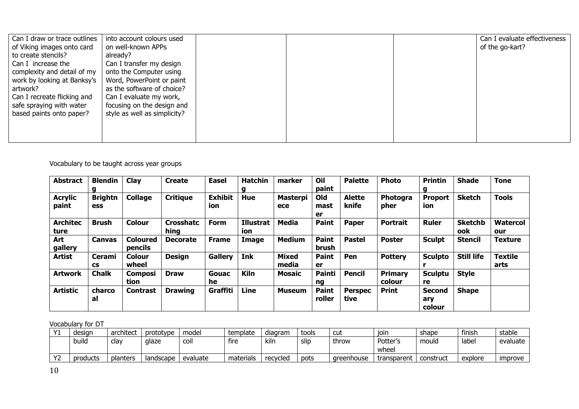| Can I draw or trace outlines | into account colours used    |  | Can I evaluate effectiveness |
|------------------------------|------------------------------|--|------------------------------|
| of Viking images onto card   | on well-known APPs           |  | of the go-kart?              |
| to create stencils?          | already?                     |  |                              |
| Can I increase the           | Can I transfer my design     |  |                              |
| complexity and detail of my  | onto the Computer using      |  |                              |
| work by looking at Banksy's  | Word, PowerPoint or paint    |  |                              |
| artwork?                     | as the software of choice?   |  |                              |
| Can I recreate flicking and  | Can I evaluate my work,      |  |                              |
| safe spraying with water     | focusing on the design and   |  |                              |
| based paints onto paper?     | style as well as simplicity? |  |                              |
|                              |                              |  |                              |
|                              |                              |  |                              |
|                              |                              |  |                              |

### Vocabulary to be taught across year groups

| <b>Abstract</b>         | <b>Blendin</b><br>g   | Clay                       | <b>Create</b>            | <b>Easel</b>          | <b>Hatchin</b><br>g | marker                 | Oil<br>paint           | <b>Palette</b>         | <b>Photo</b>      | <b>Printin</b><br>g            | <b>Shade</b>          | <b>Tone</b>            |
|-------------------------|-----------------------|----------------------------|--------------------------|-----------------------|---------------------|------------------------|------------------------|------------------------|-------------------|--------------------------------|-----------------------|------------------------|
| <b>Acrylic</b><br>paint | <b>Brightn</b><br>ess | <b>Collage</b>             | <b>Critique</b>          | <b>Exhibit</b><br>ion | Hue                 | <b>Masterpi</b><br>ece | Old<br>mast<br>er      | <b>Alette</b><br>knife | Photogra<br>pher  | Proport<br>ion                 | <b>Sketch</b>         | <b>Tools</b>           |
| <b>Architec</b><br>ture | <b>Brush</b>          | <b>Colour</b>              | <b>Crosshatc</b><br>hing | Form                  | Illustrat<br>ion    | <b>Media</b>           | <b>Paint</b>           | <b>Paper</b>           | <b>Portrait</b>   | <b>Ruler</b>                   | <b>Sketchb</b><br>ook | <b>Watercol</b><br>our |
| Art<br>gallery          | <b>Canvas</b>         | <b>Coloured</b><br>pencils | <b>Decorate</b>          | <b>Frame</b>          | Image               | <b>Medium</b>          | <b>Paint</b><br>brush  | <b>Pastel</b>          | <b>Poster</b>     | <b>Sculpt</b>                  | <b>Stencil</b>        | <b>Texture</b>         |
| <b>Artist</b>           | Cerami<br><b>CS</b>   | <b>Colour</b><br>wheel     | <b>Design</b>            | <b>Gallery</b>        | Ink                 | <b>Mixed</b><br>media  | <b>Paint</b><br>er     | Pen                    | <b>Pottery</b>    | <b>Sculpto</b>                 | <b>Still life</b>     | <b>Textile</b><br>arts |
| <b>Artwork</b>          | <b>Chalk</b>          | <b>Composi</b><br>tion     | <b>Draw</b>              | Gouac<br>he           | <b>Kiln</b>         | Mosaic                 | <b>Painti</b><br>ng    | Pencil                 | Primary<br>colour | <b>Sculptu</b><br>re           | <b>Style</b>          |                        |
| <b>Artistic</b>         | charco<br>al          | <b>Contrast</b>            | <b>Drawing</b>           | Graffiti              | <b>Line</b>         | <b>Museum</b>          | <b>Paint</b><br>roller | <b>Perspec</b><br>tive | <b>Print</b>      | <b>Second</b><br>ary<br>colour | <b>Shape</b>          |                        |

## Vocabulary for DT

| $\sqrt{1}$ | desian   | architect | prototype | model       | template  | diagram  | tools | cut        | ioin        | shape     | finish  | stable                |
|------------|----------|-----------|-----------|-------------|-----------|----------|-------|------------|-------------|-----------|---------|-----------------------|
|            | build    | clav      | glaze     | <b>COII</b> | fire      | kilr     | slip  | throw      | Potter's    | mould     | label   | evaluate              |
|            |          |           |           |             |           |          |       |            | wheel       |           |         |                       |
| $\sqrt{2}$ | products | planters  | landscape | evaluate    | materials | recycled | pots  | areenhouse | transparent | construct | explore | <i><b>Improve</b></i> |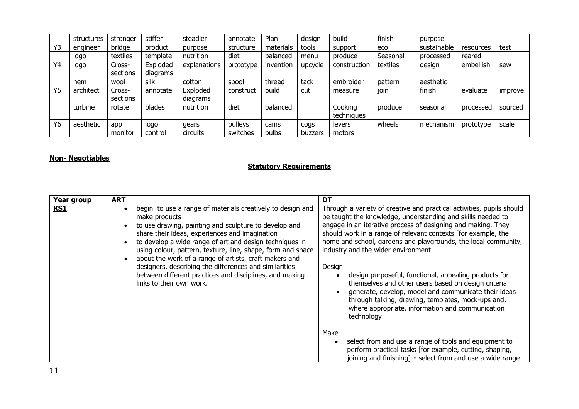|    | structures | stronger | stiffer  | steadier     | annotate  | Plan      | design  | build        | finish   | purpose     |           |         |
|----|------------|----------|----------|--------------|-----------|-----------|---------|--------------|----------|-------------|-----------|---------|
| Y3 | engineer   | bridge   | product  | purpose      | structure | materials | tools   | support      | eco      | sustainable | resources | test    |
|    | logo       | textiles | template | nutrition    | diet      | balanced  | menu    | produce      | Seasonal | processed   | reared    |         |
| Y4 | logo       | Cross-   | Exploded | explanations | prototype | invention | upcycle | construction | textiles | design      | embellish | sew     |
|    |            | sections | diagrams |              |           |           |         |              |          |             |           |         |
|    | hem        | wool     | silk     | cotton       | spool     | thread    | tack    | embroider    | pattern  | aesthetic   |           |         |
| Y5 | architect  | Cross-   | annotate | Exploded     | construct | build     | cut     | measure      | join     | finish      | evaluate  | improve |
|    |            | sections |          | diagrams     |           |           |         |              |          |             |           |         |
|    | turbine    | rotate   | blades   | nutrition    | diet      | balanced  |         | Cooking      | produce  | seasonal    | processed | sourced |
|    |            |          |          |              |           |           |         | techniques   |          |             |           |         |
| Y6 | aesthetic  | app      | logo     | gears        | pulleys   | cams      | cogs    | levers       | wheels   | mechanism   | prototype | scale   |
|    |            | monitor  | control  | circuits     | switches  | bulbs     | buzzers | motors       |          |             |           |         |

#### **Non- Negotiables**

#### **Statutory Requirements**

| Year group | <b>ART</b>                                                                                                                                                                                                                                                                                                                                                                                                                                                                                                                  | DT                                                                                                                                                                                                                                                                                                                                                                                                                                                                                                                                                                                                                                                                                      |
|------------|-----------------------------------------------------------------------------------------------------------------------------------------------------------------------------------------------------------------------------------------------------------------------------------------------------------------------------------------------------------------------------------------------------------------------------------------------------------------------------------------------------------------------------|-----------------------------------------------------------------------------------------------------------------------------------------------------------------------------------------------------------------------------------------------------------------------------------------------------------------------------------------------------------------------------------------------------------------------------------------------------------------------------------------------------------------------------------------------------------------------------------------------------------------------------------------------------------------------------------------|
| <u>KS1</u> | begin to use a range of materials creatively to design and<br>make products<br>to use drawing, painting and sculpture to develop and<br>share their ideas, experiences and imagination<br>to develop a wide range of art and design techniques in<br>using colour, pattern, texture, line, shape, form and space<br>about the work of a range of artists, craft makers and<br>designers, describing the differences and similarities<br>between different practices and disciplines, and making<br>links to their own work. | Through a variety of creative and practical activities, pupils should<br>be taught the knowledge, understanding and skills needed to<br>engage in an iterative process of designing and making. They<br>should work in a range of relevant contexts [for example, the<br>home and school, gardens and playgrounds, the local community,<br>industry and the wider environment<br>Design<br>design purposeful, functional, appealing products for<br>themselves and other users based on design criteria<br>generate, develop, model and communicate their ideas<br>through talking, drawing, templates, mock-ups and,<br>where appropriate, information and communication<br>technology |
|            |                                                                                                                                                                                                                                                                                                                                                                                                                                                                                                                             | Make<br>select from and use a range of tools and equipment to<br>$\bullet$<br>perform practical tasks [for example, cutting, shaping,<br>joining and finishing] $\cdot$ select from and use a wide range                                                                                                                                                                                                                                                                                                                                                                                                                                                                                |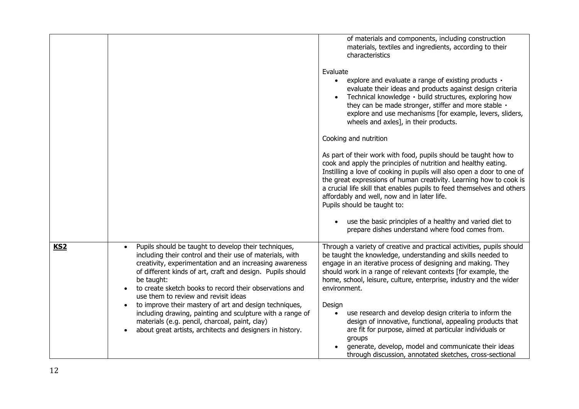|            |                                                                                                                                                                                                                                                                                                                                                                                                                                   | of materials and components, including construction<br>materials, textiles and ingredients, according to their<br>characteristics<br>Evaluate<br>explore and evaluate a range of existing products ·<br>$\bullet$<br>evaluate their ideas and products against design criteria<br>Technical knowledge · build structures, exploring how<br>they can be made stronger, stiffer and more stable ·<br>explore and use mechanisms [for example, levers, sliders,<br>wheels and axles], in their products.<br>Cooking and nutrition<br>As part of their work with food, pupils should be taught how to<br>cook and apply the principles of nutrition and healthy eating.<br>Instilling a love of cooking in pupils will also open a door to one of<br>the great expressions of human creativity. Learning how to cook is<br>a crucial life skill that enables pupils to feed themselves and others<br>affordably and well, now and in later life.<br>Pupils should be taught to:<br>use the basic principles of a healthy and varied diet to<br>$\bullet$<br>prepare dishes understand where food comes from. |
|------------|-----------------------------------------------------------------------------------------------------------------------------------------------------------------------------------------------------------------------------------------------------------------------------------------------------------------------------------------------------------------------------------------------------------------------------------|----------------------------------------------------------------------------------------------------------------------------------------------------------------------------------------------------------------------------------------------------------------------------------------------------------------------------------------------------------------------------------------------------------------------------------------------------------------------------------------------------------------------------------------------------------------------------------------------------------------------------------------------------------------------------------------------------------------------------------------------------------------------------------------------------------------------------------------------------------------------------------------------------------------------------------------------------------------------------------------------------------------------------------------------------------------------------------------------------------|
|            |                                                                                                                                                                                                                                                                                                                                                                                                                                   |                                                                                                                                                                                                                                                                                                                                                                                                                                                                                                                                                                                                                                                                                                                                                                                                                                                                                                                                                                                                                                                                                                          |
| <b>KS2</b> | Pupils should be taught to develop their techniques,<br>including their control and their use of materials, with<br>creativity, experimentation and an increasing awareness<br>of different kinds of art, craft and design. Pupils should<br>be taught:<br>to create sketch books to record their observations and<br>use them to review and revisit ideas<br>to improve their mastery of art and design techniques,<br>$\bullet$ | Through a variety of creative and practical activities, pupils should<br>be taught the knowledge, understanding and skills needed to<br>engage in an iterative process of designing and making. They<br>should work in a range of relevant contexts [for example, the<br>home, school, leisure, culture, enterprise, industry and the wider<br>environment.<br>Design                                                                                                                                                                                                                                                                                                                                                                                                                                                                                                                                                                                                                                                                                                                                    |
|            | including drawing, painting and sculpture with a range of<br>materials (e.g. pencil, charcoal, paint, clay)<br>about great artists, architects and designers in history.                                                                                                                                                                                                                                                          | use research and develop design criteria to inform the<br>$\bullet$<br>design of innovative, functional, appealing products that<br>are fit for purpose, aimed at particular individuals or                                                                                                                                                                                                                                                                                                                                                                                                                                                                                                                                                                                                                                                                                                                                                                                                                                                                                                              |
|            |                                                                                                                                                                                                                                                                                                                                                                                                                                   | groups<br>generate, develop, model and communicate their ideas<br>through discussion, annotated sketches, cross-sectional                                                                                                                                                                                                                                                                                                                                                                                                                                                                                                                                                                                                                                                                                                                                                                                                                                                                                                                                                                                |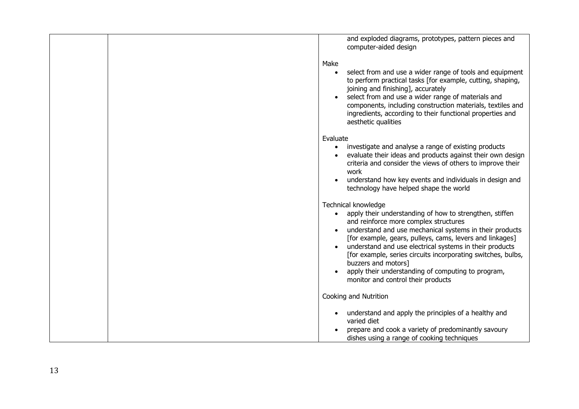|  | and exploded diagrams, prototypes, pattern pieces and<br>computer-aided design                                                                                                                                                                                                                                                                                                                                                                                                               |
|--|----------------------------------------------------------------------------------------------------------------------------------------------------------------------------------------------------------------------------------------------------------------------------------------------------------------------------------------------------------------------------------------------------------------------------------------------------------------------------------------------|
|  |                                                                                                                                                                                                                                                                                                                                                                                                                                                                                              |
|  | Make<br>select from and use a wider range of tools and equipment<br>$\bullet$<br>to perform practical tasks [for example, cutting, shaping,<br>joining and finishing], accurately<br>select from and use a wider range of materials and<br>components, including construction materials, textiles and<br>ingredients, according to their functional properties and<br>aesthetic qualities                                                                                                    |
|  | Evaluate                                                                                                                                                                                                                                                                                                                                                                                                                                                                                     |
|  | investigate and analyse a range of existing products<br>$\bullet$<br>evaluate their ideas and products against their own design<br>criteria and consider the views of others to improve their<br>work<br>understand how key events and individuals in design and<br>technology have helped shape the world                                                                                                                                                                                   |
|  |                                                                                                                                                                                                                                                                                                                                                                                                                                                                                              |
|  | Technical knowledge<br>apply their understanding of how to strengthen, stiffen<br>and reinforce more complex structures<br>understand and use mechanical systems in their products<br>[for example, gears, pulleys, cams, levers and linkages]<br>understand and use electrical systems in their products<br>[for example, series circuits incorporating switches, bulbs,<br>buzzers and motors]<br>apply their understanding of computing to program,<br>monitor and control their products |
|  | Cooking and Nutrition                                                                                                                                                                                                                                                                                                                                                                                                                                                                        |
|  | understand and apply the principles of a healthy and<br>$\bullet$<br>varied diet                                                                                                                                                                                                                                                                                                                                                                                                             |
|  | prepare and cook a variety of predominantly savoury<br>dishes using a range of cooking techniques                                                                                                                                                                                                                                                                                                                                                                                            |